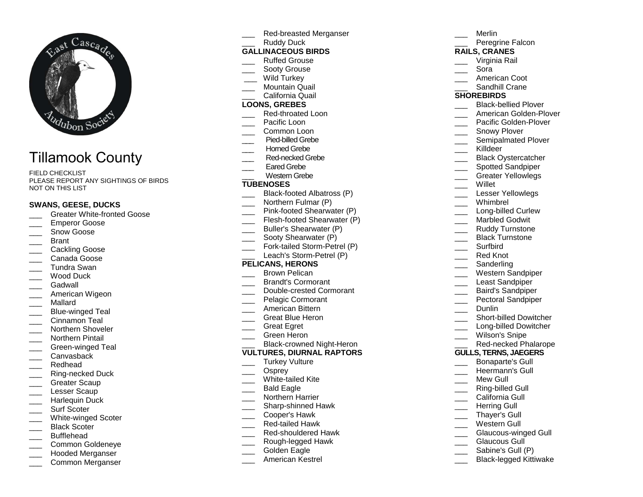

# Tillamook County

FIELD CHECKLIST PLEASE REPORT ANY SIGHTINGS OF BIRDS NOT ON THIS LIST

#### **SWANS, GEESE, DUCKS**

- **Example 3** Greater White-fronted Goose
- Emperor Goose
- Snow Goose
- \_\_\_ Brant
- \_\_\_ Cackling Goose
- Canada Goose
- \_\_\_ Tundra Swan
- Wood Duck
- Gadwall
- \_\_\_ American Wigeon
- \_\_\_ Mallard
- \_\_\_ Blue-winged Teal
- Cinnamon Teal
- \_\_\_ Northern Shoveler
- Northern Pintail
- \_\_\_ Green-winged Teal
- Canvashack
- \_\_\_ Redhead
- \_\_\_ Ring-necked Duck
- Greater Scaup
- Lesser Scaup
- \_\_\_ Harlequin Duck
- Surf Scoter
- \_\_\_ White-winged Scoter
- \_\_\_ Black Scoter
- \_\_\_ Bufflehead
- \_\_\_ Common Goldeneye
- \_\_\_ Hooded Merganser
- \_\_\_ Common Merganser
- Red-breasted Merganser Ruddy Duck **GALLINACEOUS BIRDS** Ruffed Grouse Sooty Grouse Wild Turkey \_\_\_ Mountain Quail \_\_\_ California Quail **LOONS, GREBES**  \_\_\_ Red-throated Loon Pacific Loon Common Loon \_\_\_ Common Loon<br>\_\_\_ Pied-billed Grebe<br>…… Horned Grebe \_\_\_ Red-necked GrebeEared Grebe \_\_\_ Western Grebe **TUBENOSES** \_\_\_ Black-footed Albatross (P) Northern Fulmar (P) \_\_\_ Pink-footed Shearwater (P) \_\_\_ Flesh-footed Shearwater (P) Buller's Shearwater (P) \_\_\_ Sooty Shearwater (P) \_\_\_ Fork-tailed Storm-Petrel (P) Leach's Storm-Petrel (P) **PELICANS, HERONS** \_\_\_ Brown Pelican \_\_\_ Brandt's Cormorant \_\_\_ Double-crested Cormorant \_\_\_ Pelagic Cormorant \_\_\_ American Bittern \_\_\_ Great Blue Heron \_\_\_ Great Egret \_\_\_ Green Heron \_\_\_ Black-crowned Night-Heron **VULTURES, DIURNAL RAPTORS**Turkey Vulture Osprey \_\_\_ White-tailed Kite
	- Bald Eagle
- \_\_\_ Northern Harrier
- \_\_\_ Sharp-shinned Hawk
- \_\_\_ Cooper's Hawk
- \_\_\_ Red-tailed Hawk
- **Example 2** Red-shouldered Hawk
- \_\_\_ Rough-legged Hawk
- Golden Eagle
- \_\_\_ American Kestrel

|                              | Merlin                      |
|------------------------------|-----------------------------|
|                              | Peregrine Falcon            |
|                              | RAILS, CRANES               |
|                              | Virginia Rail               |
| ____                         | Sora                        |
|                              | American Coot               |
|                              | Sandhill Crane              |
| <b>SHOREBIRDS</b>            |                             |
|                              | <b>Black-bellied Plover</b> |
|                              | American Golden-Plover      |
|                              | Pacific Golden-Plover       |
|                              | Snowy Plover                |
|                              | Semipalmated Plover         |
|                              |                             |
|                              | Killdeer                    |
|                              | <b>Black Oystercatcher</b>  |
|                              | <b>Spotted Sandpiper</b>    |
|                              | <b>Greater Yellowlegs</b>   |
|                              | Willet                      |
|                              | Lesser Yellowlegs           |
|                              | Whimbrel                    |
|                              | Long-billed Curlew          |
|                              | <b>Marbled Godwit</b>       |
|                              | Ruddy Turnstone             |
|                              | Black Turnstone             |
|                              | Surfbird                    |
|                              | <b>Red Knot</b>             |
|                              | Sanderling                  |
|                              | Western Sandpiper           |
|                              | Least Sandpiper             |
|                              | <b>Baird's Sandpiper</b>    |
|                              | Pectoral Sandpiper          |
|                              | Dunlin                      |
|                              | Short-billed Dowitcher      |
| $\overline{\phantom{a}}$     | Long-billed Dowitcher       |
|                              | Wilson's Snipe              |
|                              | Red-necked Phalarope        |
|                              |                             |
|                              |                             |
|                              |                             |
|                              |                             |
|                              |                             |
|                              | California Gull             |
|                              | <b>Herring Gull</b>         |
|                              | Thayer's Gull               |
|                              | Western Gull                |
|                              |                             |
|                              | Glaucous Gull               |
|                              | <b>Bonaparte's Gull</b>     |
| <b>GULLS, TERNS, JAEGERS</b> |                             |
|                              |                             |
|                              | Heermann's Gull             |
|                              | Mew Gull                    |
|                              | Ring-billed Gull            |
|                              |                             |
|                              |                             |
|                              |                             |
|                              |                             |
|                              | <b>Glaucous-winged Gull</b> |
|                              |                             |

- \_\_\_ Sabine's Gull (P)
- \_\_\_ Black-legged Kittiwake